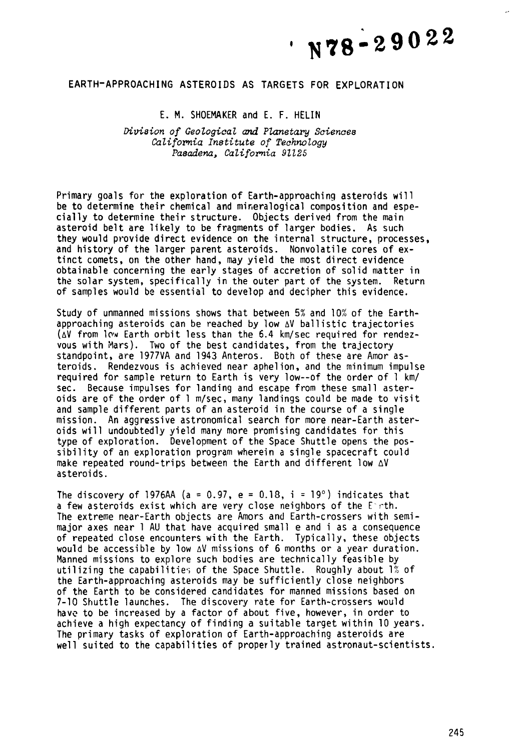# $\cdot$  N78-29022

## **EARTH-APPROACHING ASTEROIDS AS TARGETS FOR EXPLORATION**

### E. M. SHOEMAKER and E. F. HELIN

*Nvision of Geological and Planetary Sciences California Institute* **of** *Technology Pasadena, California 91225* 

Primary goals for the exploration of Earth-approaching asteroids will be to determine their chemical and mineralogical composition and especially to determine their structure. Objects derived from the main asteroid belt are likely to be fragments of larger bodies. As such they would provide direct evidence on the internal structure, processes, and history of the larger parent asteroids. Nonvolatile cores of extinct comets, on the other hand, may yield the most direct evidence obtainable concerning the early stages of accretion of solid matter in the solar system, specifically in the outer part of the system. Return of samples would be essential to develop and decipher this evidence.

Study of unmanned missions shows that between **5%** and 10% of the Earthapproaching asteroids can be reached by low  $\Delta V$  ballistic trajectories  $(\Delta V)$  from  $\overline{N}$  Earth orbit less than the 6.4 km/sec required for rendezvous with Nars). Two of the best candidates, from the trajectory standpoint, are 1977VA and 1943 Anteros. Both of these are Amor asteroids. Rendezvous is achieved near aphelion, and the minimum impulse required for sample return to Earth is very low--of the order of 1 km/ sec. Because impulses for landing and escape from these small asteroids are of the order of  $1 \text{ m/sec}$ , many landings could be made to visit and sample different parts of an asteroid in the course of a single mission. An aggressive astronomical search for more near-Earth asteroids will undoubtedly yield many more promising candidates for this type of exploration. Development of the Space Shuttle opens the possibility of an exploration program wherein a single spacecraft could make repeated round-trips between the Earth and different low AV asteroids.

The discovery of 1976AA ( $a = 0.97$ ,  $e = 0.18$ ,  $i = 19^{\circ}$ ) indicates that a few asteroids exist which are very close neighbors of the E-rth. The extreme near-Earth objects are Amors and Earth-crossers with semi-major axes near 1 AU that have acquired small e and i as a consequence of repeated close encounters with the Earth. Typically, these objects would be accessible by low AV missions of 6 months or a year duration. Manned missions to explore such bodies are technically feasible by utilizing the capabilities of the Space Shuttle. Roughly about 1% of the Earth-approaching asteroids may be sufficiently close neighbors of the Earth to be considered candidates for manned missions based on 7-10 Shuttle launches. The discovery rate for Earth-crossers would have to be increased by a factor of about five, however, in order to achieve a high expectancy of finding a suitable target within 10 years. The primary tasks of exploration of Earth-approaching asteroids are well suited to the capabilities of properly trained astronaut-scientists.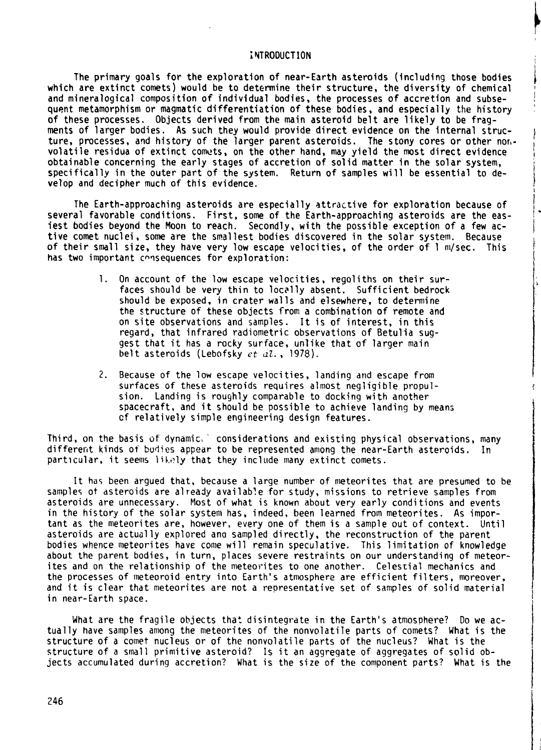#### **i** YTRODUCTION !

The primary goals for the exploration of near-Earth asteroids (Including those bodies which are extinct comets) would be to determine their structure, the diversity of chemical and mineralogical composition of individual bodies, the processes of accretion and subsequent metamorphism or magmatic differentiation of these bodies, and especially the history of these processes. Objects derived from the main asteroid belt are likely to be fragments of larger bodies. As such they would provide direct evidence on the internal structure, processes, and history of the larger parent asteroids. The stony cores or other nor, volatile residua of extinct comets, on the other hand, may yield the most direct evidence obtainable concerning the early stages of accretion of solid matter in the solar system, specifically in the outer part of the system. Return of samples will be essential to develop and decipher much of this evidence.

The Earth-approaching asteroids are especially attractive for exploration because of several favorable conditions. First, some of the Earth-approaching asteroids are the easiest bodies beyond the Moon to reach. Secondly, with the possible exception of a few active comet nuclei, some are the smallest bodies discovered in the solar system. Because of their small size, they have very low escape velocities, of the order of 1 m/sec. This has two important consequences for exploration:

- 1. On account of the law escape velocities, regoliths on their surfaces should be very thin to locally absent. Sufficient bedrock should be exposed, in crater walls and elsewhere, to determine the structure of these objects from a combination of remote and on site observations and samples. It is of interest, in this regard, that infrared radiometric observations of Betulia suggest that it has a rocky surface, unlike that of larger main belt asteroids (Lebofsky *et dl.,* 1978).
- **2.** Because of the low escape velocities, landing and escape from surfaces of these asteroids requires almost negligible propulsion. Landing is roughly comparable to docking with another spacecraft, and it should be possible to achieve landing by mean; cf relatively simple engineering design features.

Third, on the basis of dynamic, ' considerations and existing physical observations, many different kinds of bodies appear to be represented among the near-Earth asteroids. In particular, it seems likely that they include many extinct comets.

It has been argued that, because a large number of meteorites that are presumed to be samples ot asteroids are already available for study, missions to retrieve samples from asteroids are unnecessary. Most of what is known about very early conditions and events in the history of the solar system has, indeed, been learned from meteorites. As important as the meteorites are, however, every one of them is a sample out of context. Until asteroids are actually explored ana sampled directly, the reconstruction of the parent bodies whence meteorites have come will remain speculative. This limitation of knowledge about the parent bodies, in turn, places severe restraints on our understanding of meteorites and on the relationship of the meteorites to one another. Celestial mechanics and the processes of meteoroid entry into Earth's atmosphere are efficient filters, moreover, and it is clear that meteorites are not a representative set of samples of solid material in near-Earth space.

What are the fragile objects that disintegrate in the Earth's atmosphere? Do we actually have samples among the meteorites of the nonvolatile parts of comets? What is the structure of a comet nucleus or of the nonvolatile parts of the nucleus? What is the structure of a small primitive asteroid? Is it an aggregate of aggregates of solid objects accumulated during accretion? What is the size of the component parts? What is the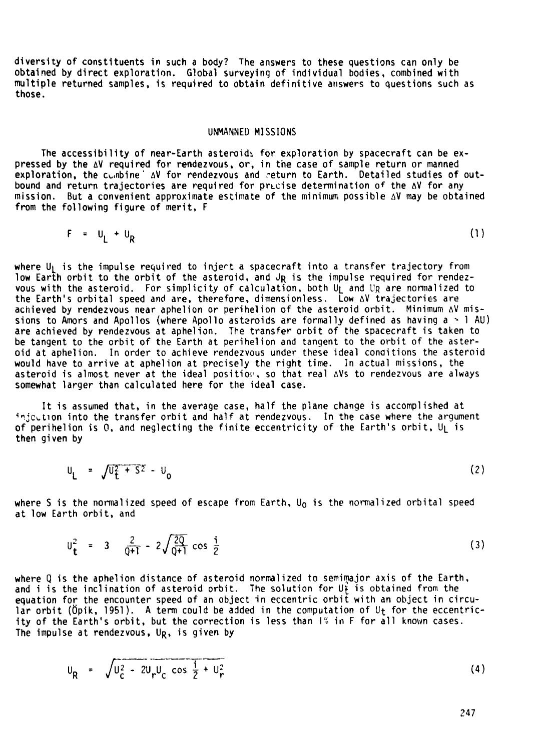diversity of constituents in such a body? The answers to these questions can only be obtained by direct exploration. Global surveying of individual bodies, combined with multiple returned samples, is required to obtain definitive answers to questions such as those.

#### UNMANNED MISSIONS

The accessibility of near-Earth asteroids for exploration by spacecraft can be expressed by the **AV** required for rendezvous, or, in the case of sample return or manned exploration, the combine ' AV for rendezvous and return to Earth. Detailed studies of outbound and return trajectories are required for precise determination of the AV for any mission. But a convenient approximate estimate of the mininiue possible **AV** may be obtained from the following figure of merit, F

$$
F = U_L + U_R \tag{1}
$$

where  $U_1$  is the impulse required to injert a spacecraft into a transfer trajectory from low Earth orbit to the orbit of the asteroid, and Jp is the impulse required for rendezvous with the asteroid. For simplicity of calculation, both U<sub>L</sub> and U<sub>R</sub> are normalized to the Earth's orbital speed and are, therefore, dimensionless. Low **AV** trajectories are achieved by rendezvous near aphelion or perihelion of the asteroid orbit. Minimum **AV** missions to Amors and Apollos (where Apollo asteroids are formally defined as having  $a > 1$  AU) are achieved by rendezvous at aphelion. The transfer orbit of the spacecraft is taken to be tangent to the orbit of the Earth at perihelion and tangent to the orbit of the asteroid at aphelion. In order to achieve rendezvous under these ideal conditions the asteroid would have to arrive at aphelion at precisely the right time. In actual missions, the asteroid is almost never at the ideal position, so that real AVs to rendezvous are always somewhat larger than calculated here for the ideal case.

It is assumed that, in the average case, half the plane change is accomplished at injection into the transfer orbit and half at rendezvous. In the case where the argument of perihelion is 0, and neglecting the finite eccentricity of the Earth's orbit,  $U_1$  is then given by

$$
U_{L} = \sqrt{U_{L}^{2} + S^{2}} - U_{0}
$$
 (2)

where **S** is the normalized speed of escape from Earth, Uo is the normalized orbital speed at low Earth orbit, and

$$
U_{t}^{2} = 3 \frac{2}{q+1} - 2\sqrt{\frac{2Q}{q+1}} \cos \frac{1}{2}
$$
 (3)

where Q is the aphelion distance of asteroid normalized to semimajor axis of the Earth, and i is the inclination of asteroid orbit. The solution for Ut is obtained from the equation for the encounter speed of an object in eccentric orbit with an object in circular orbit (Öpik, 1951). A term could be added in the computation of  $U_t$  for the eccentricity of the Earth's orbit, but the correction is less than I<sup>\*</sup> in F for all known cases. The impulse at rendezvous, U<sub>R</sub>, is given by

$$
U_R = \sqrt{U_C^2 - 2U_r U_C \cos \frac{1}{2} + U_r^2}
$$
 (4)

247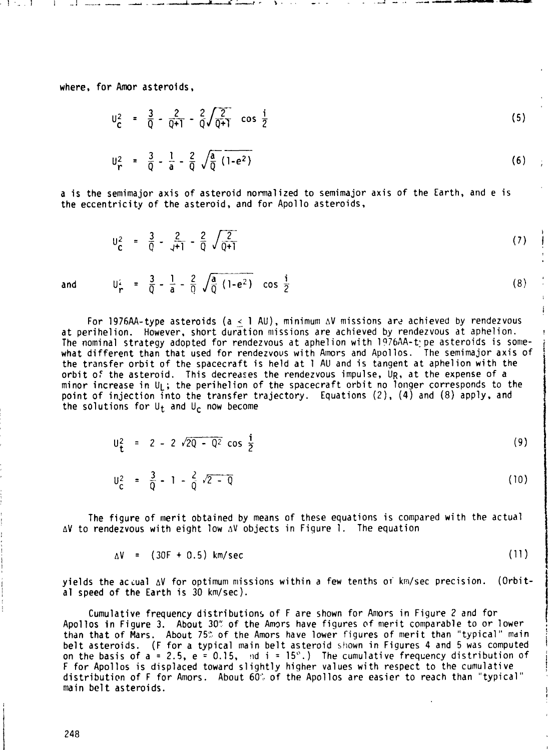where, for Amor asteroids,

$$
U_{\mathbf{C}}^2 = \frac{3}{0} - \frac{2}{0+1} - \frac{2}{0} \sqrt{\frac{2}{0+1}} \cos \frac{1}{2}
$$
\n
$$
U_{\mathbf{C}}^2 = \frac{3}{0} - \frac{1}{a} - \frac{2}{0} \sqrt{\frac{a}{0} (1-e^2)}
$$
\n(6)

a is the semimajor axis of asteroid normalized to semimajor axis of the Earth, and e is the eccentricity of the asteroid, and for Apollo asteroids,

$$
U_{\mathbf{C}}^2 = \frac{3}{Q} - \frac{2}{\sqrt{+1}} - \frac{2}{Q} \sqrt{\frac{2}{Q+1}}
$$
 (7)

i

**I** 

and  $U_r^2 = \frac{3}{0} - \frac{1}{a} - \frac{2}{0} \sqrt{\frac{a}{0} (1 - e^2)} \cos \frac{1}{2}$  $(8)$ 

For 1976AA-type asteroids (a < 1 AU), minimum  $\Delta V$  missions are achieved by rendezvous at perihelion. However, short duration missions are achieved by rendezvous at aphelion. The nominal strategy adopted for rendezvous at aphelion with 1976AA-type asteroids is somewhat different than that used for rendezvous with Alnors and Apollos. The semimajor axis of <sup>1</sup> the transfer orbit of the spacecraft is held at 1 AU and is tangent at aphelion with the orbit o: the asteroid. This decreases the rendezvous impulse, **UR,** at the expense of a minor increase in  $U_L$ ; the perihelion of the spacecraft orbit no longer corresponds to the point of injection into the transfer trajectory. Equations (2), (4) and (8) apply, and the solutions for  $U_t$  and  $U_c$  now become

$$
U_{t}^{2} = 2 - 2 \sqrt{2Q - Q^{2}} \cos \frac{i}{2}
$$
 (9)

$$
U_{\rm C}^2 = \frac{3}{0} - 1 - \frac{2}{0} \sqrt{2 - 0} \tag{10}
$$

The figure of merit obtained by means of these equations is compared with the actual **AV** to rendezvous with eight low **AV** objects in Figure 1. The equation

$$
\Delta V = (30F + 0.5) \text{ km/sec} \tag{11}
$$

yields the accual AV for optimum missions within a few tenths or km/sec precision. (Orbital speed of the Earth is 30 km/sec).

Cumulative frequency distributions of F are shown for Amors in Figure 2 and for<br>Apollos in Figure 3. About 30% of the Amors have figures of merit comparable to or lower Apolios in Figure 3. About 30% of the Amors have figures of merit comparable to or lower . :<br>than that of Mars. About 75% of the Amors have lower figures of merit than "typical" main than that of Mars. About 75% of the Amors have lower figures of merit than "typical" main<br>belt asteroids. (F for a typical main belt asteroid shown in Figures 4 and 5 was computed on the basis of  $a = 2.5$ ,  $e = 0.15$ ,  $nd i = 15^\circ$ .) The cumulative frequency distribution of F for Apollos is displaced toward slightly higher values with respect to the cumulative distribution of F for Amors. About **60':.** of the Apollos are easier to reach than "typical" main belt asteroids.

248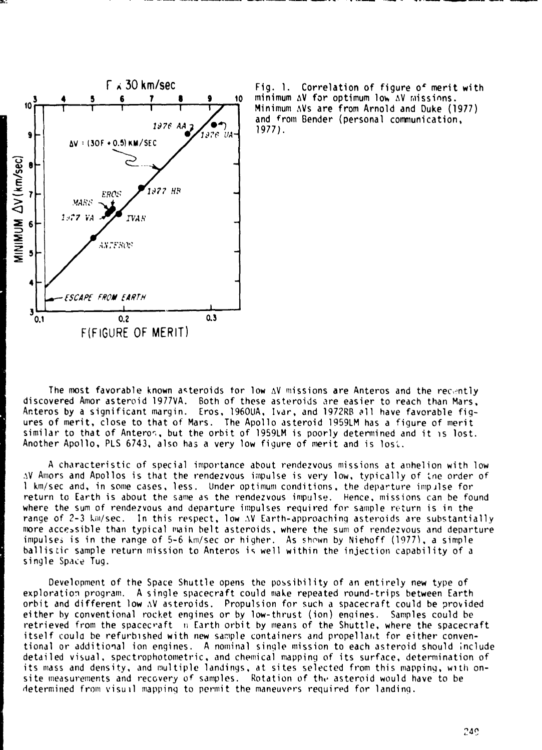

Fig. 1. Correlation of figure of merit with minimum AV for optimum low AV missions. Minimum AVs are from Arnold and Duke (1977) and from Bender (personal communication,  $19771.$ 

The most favorable known asteroids for low AV missions are Anteros and the recently discovered Amor asteroid 1977VA. Both of these asteroids are easier to reach than Mars, Anteros by a significant margin. Eros, 1960UA, Ivar, and 1972RB all have favorable figures of merit, close to that of Mars. The Apollo asteroid 1959LM has a figure of merit similar to that of Anteron, but the orbit of 1959LM is poorly determined and it is lost. Another Apollo, PLS 6743, also has a very low figure of merit and is lost.

A characteristic of special importance about rendezvous missions at aphelion with low AV Amors and Apollos is that the rendezvous impulse is very low, typically of the order of I km/sec and, in some cases, less. Under optimum conditions, the departure impulse for return to Earth is about the same as the rendezvous impulse. Hence, missions can be found where the sum of rendezvous and departure impulses required for sample return is in the range of 2-3 km/sec. In this respect, low AV Earth-approaching asteroids are substantially more accessible than typical main belt asteroids, where the sum of rendezvous and departure impulses is in the range of 5-6 km/sec or higher. As shown by Niehoff (1977), a simple ballistic sample return mission to Anteros is well within the injection capability of a single Space Tug.

Development of the Space Shuttle opens the possibility of an entirely new type of exploration program. A single spacecraft could make repeated round-trips between Earth orbit and different low AV asteroids. Propulsion for such a spacecraft could be provided either by conventional rocket engines or by low-thrust (ion) engines. Samples could be retrieved from the spacecraft in Earth orbit by means of the Shuttle, where the spacecraft itself could be refurbished with new sample containers and propellant for either conventional or additional ion engines. A nominal single mission to each asteroid should include detailed visual, spectrophotometric, and chemical mapping of its surface, determination of its mass and density, and multiple landings, at sites selected from this mapping, with onsite measurements and recovery of samples. Rotation of the asteroid would have to be determined from visual mapping to permit the maneuvers required for landing.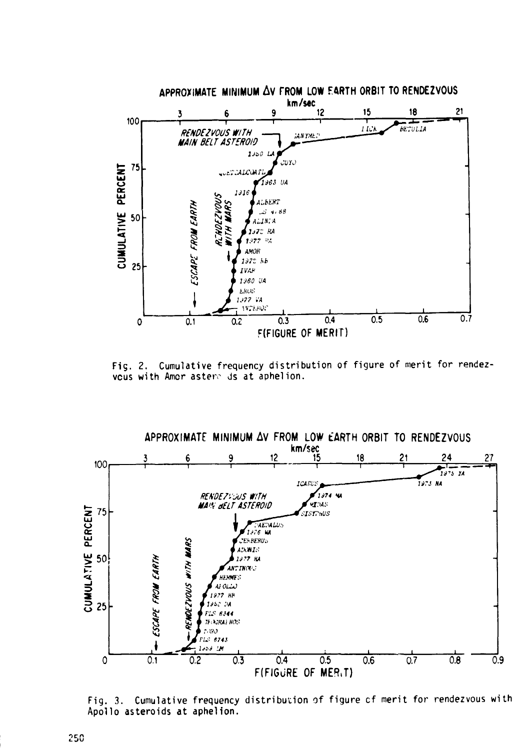

Fig. 2. Cumulative frequency distribution of figure of merit for rendezvous with Amor astere ds at aphelion.

APPROXIMATE MINIMUM AV FROM LOW EARTH ORBIT TO RENDEZVOUS



Fig. 3. Cumulative frequency distribution of figure of merit for rendezvous with Apollo asteroids at aphelion.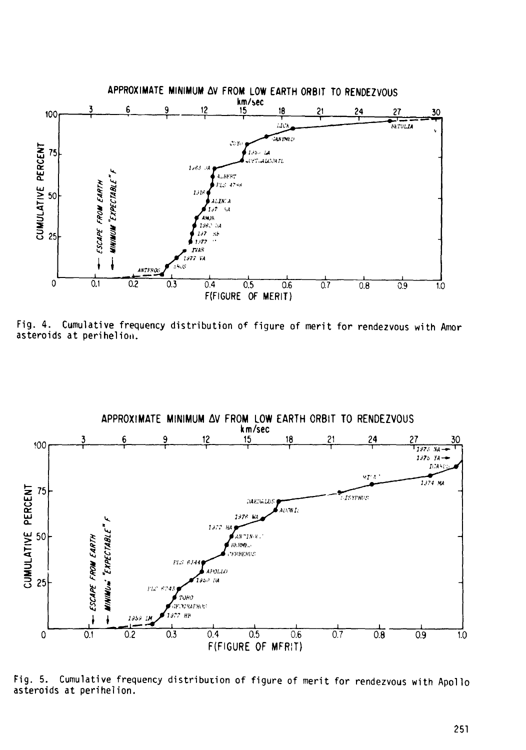

Fig. 4. Cumulative frequency distribution of figure of merit for rendezvous with Amor asteroids at perihelion.



Cumulative frequency distribution of figure of merit for rendezvous with Apollo  $Fig. 5.$ asteroids at perihelion.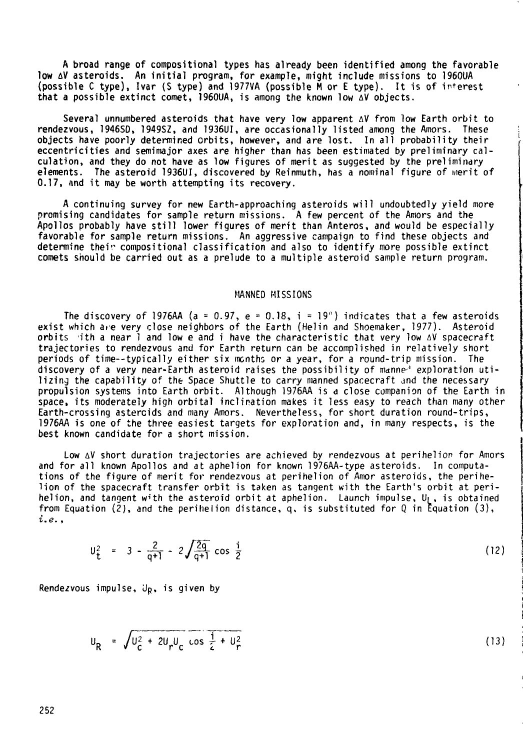**A** broad range of compositional types has already been identified among the favorable low AV asteroids. An initial program, for example, might include missions to 1960UA<br>(possible C type), Ivar (S type) and 1977VA (possible M or E type). It is of interest that **a** possible extinct comet, 1960UA, is among the known low **AV** objects.

Several unnumbered asteroids that have very low apparent **AV** from low Earth orbit to rendezvous, 1946SD, 1949SZ, and 1936U1, are occasional ly listed among the Amors. These objects have poorly determined orbits, however, and are lost. In all probability their eccentricities and semimajor axes are higher than has been estimated by preliminary calculation, and they do not have as low figures of merit as suggested by the prelimindry elements. The asteroid 1936UI, discovered by Reinmuth, has a nominal figure of merit of 0.17, and it may be worth attempting its recovery.

A continuing survey for new Earth-approaching asteroids will undoubtedly yield more promising candidates for sample return missions. **A** few percent of the Amors and the Apollos probably have still lower figures of merit than Anteros. and would be especially favorable for sample return missions. An aggressive campaign to find these objects and determine their compositional classification and also to identify more possible extinct comets snould be carried out as a prelude to a mu1 tiple asteroid sample return program.

MANNED MISSIONS<br>The discovery of 1976AA (a = 0.97, e = 0.18, i = 19") indicates that a few asteroids exist which are very close neighbors of the Earth (Helin and Shoemaker, 1977). Asteroid orbits (ith a near 1 and low e and i have the characteristic that very low **AV** spacecraft trajectories to rendezvous and for Earth return can be accomplished in relatively short periods of time--typically either six months or a year, for a round-trip mission. The discovery of a very near-Earth asteroid raises the possibility of manne<sup>3</sup> exploration uti-<br>1 izing the capability of the Space Shuttle to carry manned spacecraft and the necessary propulsion systems into Earth orbit. A1 though 1976AA is **d** close companim of the Earth in space, its moderately high orbital inclination makes it less easy to reach than many other Earth-crossing astercids and many Amors. Nevertheless, for short duration round-trips, 1976AA is one of the three easiest targets for exploration and, in many respects, is the best known candidate for a short mission.

Low AV short duration trajectories are achieved by rendezvous at perihelion for Amors and for all known Apollos and at aphelion for known 1976AA-type asteroids. In computations of the figure of merit for rendezvous at perihelion of Amor asteroids, the perihelion of the spacecraft transfer orbit is taken as tangent with the Earth's orbit at perihelion, and tangent with the asteroid orbit at aphelion. Launch impulse,  $U_1$ , is obtained from Equation **(21,** and the perillelion distance, q. is substituted for **Q** in kquation **(3). z.e.** ,

$$
U_{t}^{2} = 3 - \frac{2}{q+1} - 2 \sqrt{\frac{2q}{q+1}} \cos \frac{i}{2}
$$
 (12)

Rendezvous impulse,  $J_p$ , is given by

$$
U_R = \sqrt{U_C^2 + 2U_r U_C \cos \frac{1}{2} + U_T^2}
$$
 (13)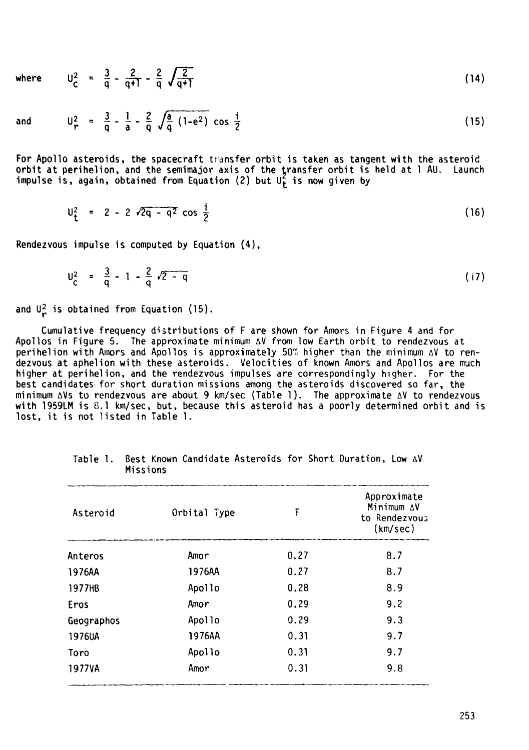where 
$$
U_C^2 = \frac{3}{q} - \frac{2}{q+1} - \frac{2}{q} \sqrt{\frac{2}{q+1}}
$$
 (14)

and

$$
U_r^2 = \frac{3}{q} - \frac{1}{a} - \frac{2}{q} \sqrt{\frac{a}{q} (1 - e^2)} \cos \frac{i}{2}
$$
 (15)

For Apollo asteroids, the spacecraft transfer orbit is taken as tangent with the asteroid orbit at perihelion, and the semimajor axis of the transfer orbit is held at 1 AU. Launch

impulse is, again, obtained from Equation (2) but 
$$
U_t^2
$$
 is now given by  
\n
$$
U_t^2 = 2 - 2 \sqrt{2q - q^2} \cos \frac{1}{2}
$$
\n(16)

Rendezvous impulse is computed by Equation **(4),** 

$$
U_{\rm C}^2 = \frac{3}{\rm q} - 1 - \frac{2}{\rm q} \sqrt{2 - \rm q} \tag{17}
$$

and  $\mathsf{U}_r^2$  is obtained from Equation (15).

Cumulative frequency distributions of F are shown for Amors in Figure 4 and for Apollos in Figure 5. The approximate minimum **AV** from low Earth orbit to rendezvous at perihelion with Arnors and Apollos is approximately 50Y) higher than the minimum **AV** to rendezvous at aphelion with these asteroids. Velocities of known Amors and Apollos are much higher at perihelion, and the rendezvous impulses are correspondingly higher. For the best candidates for short duration missions among the asteroids discovered so far, the minimum AVS tu rendezvous are about 9 kmlsec (Tab1 e 1 ). The approximate **AV** to rendezvous with 1959LM is 8.1 km/sec, but, because this asteroid has a poorly determined orbit and is lost, it is not listed in Table 1.

| Asteroid   | Orbital Type | F    | Approximate<br>Minimum AV<br>to Rendezvous<br>(km/sec) |
|------------|--------------|------|--------------------------------------------------------|
| Anteros    | Amor         | 0.27 | 8.7                                                    |
| 1976AA     | 1976AA       | 0.27 | 8.7                                                    |
| 1977HB     | Apollo       | 0.28 | 8.9                                                    |
| Eros       | Amor         | 0.29 | 9.2                                                    |
| Geographos | Apollo       | 0.29 | 9.3                                                    |
| 1976UA     | 1976AA       | 0.31 | 9.7                                                    |
| Toro       | Apollo       | 0.31 | 9.7                                                    |
| 1977VA     | Amor         | 0.31 | 9.8                                                    |

Table 1. Best Known Candidate Asteroids for Short Duration, Low **AV**  Missions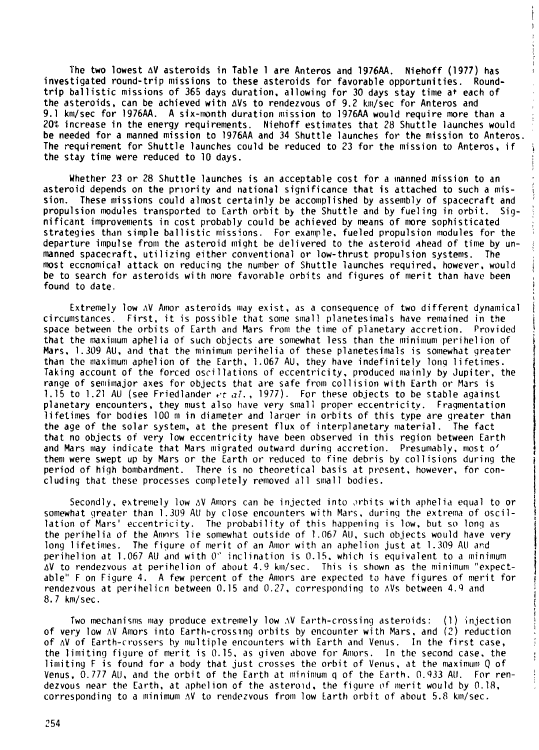The two lowest AV asteroids in Table 1 are Anteros and 1976AA. Niehoff (1977) has investigated round-trip missions to these asteroids for favorable opportunities. Roundtrip ballistic missions of 365 days duration. allowing for 30 days stay time at each of the asteroids, can be achieved with  $\Delta V$ s to rendezvous of 9.2 km/sec for Anteros and 9.1 km/sec for 1976AA. A six-month duration mission to 1976AA would require more than a 20% increase in the energy requirements. Niehoff estimates that 28 Shuttle launches would be needed for a manned mission to 1976AA and 34 Shuttle launches for the mission to Anteros. The requirement for Shuttle launches could be reduced to 23 for the mission to Anteros, if the stay time were reduced to 10 days.

I

 $\mathbf{I}$ 

i

I

Whether 23 or 28 Shuttle launches is an acceptable cost for a  $m$ anned mission to an asteroid depends on the priority and national significance that is attached to such a mis-<br>sion. These missions could almost certainly be accomplished by assembly of spacecraft and propulsion modules transported to Earth orbit by the Shuttle and by fueling in orbit. Sig-<br>nificant improvements in cost probably could be achieved by means of more sophisticated strategies than simple ballistic missions. For example, fueled propulsion modules for the<br>departure impulse from the asteroid might be delivered to the asteroid ahead of time by unmanned spacecraft, utilizing either conventional or low-thrust propulsion systems. The<br>most economical attack on reducing the number of Shuttle launches required, however, would be to search for asteroids with more favorable orbits and figures of merit than have been<br>found to date.

Extremely low  $\Delta V$  Amor asteroids may exist, as a consequence of two different dynamical circumstances. First, it is possible that some small planetesimals have remained in the space between the orbits of Earth and Mars from the time of planetary accretion. Provided that the maximum aphelia of such objects are somewhat less than the minimum perihelion of Mars. 1.309 AU, and that the minimum perihelia of these planetesimals is somewhat greater than the maximum aphelion of the Earth, 1.067 AU, they have indefinitely long lifetimes. Taking account of the forced oscillations of eccentricity, produced mainly by Jupiter, the range of semimajor axes for objects that are safe from collision with Earth or Mars is 1.15 to 1.21 AU (see Friedlander *et al.*, 1977). For these objects to be stable against planetary encounters, they must also have very small proper eccentricity. Fragmentation lifetimes for bodies 100 m in diameter and larger in orbits of this type are greater than the age of the solar system, at the present flux of interplanetary material. The fact that no objects of very low eccentricity have been observed in this region between Earth and Mars may indicate that Mars migrated outward during accretion. Presumably, most o' them were swept up by Mars or the Earth or reduced to fine debris by collisions during the period of high bombardment. There is no theoretical basis at present, however, for concluding that these processes completely removed all small bodies.

Secondly, extremely low aV Amors can be injected into prbits with aphelia equal to or somewhat greater than 1.309 AU by close encounters with Mars, during the extrema of oscillation of Mars' eccentricity. The probability of this happening is low. but so long as the perihelia of the Anmrs lie somewhat outside of 1.067 All, such objects would have very long lifetimes. The figure of merit of an Amor with an aphelion just at 1.309 AU and perihelion at 1.067 AU and with  $0$ " inclination is 0.15, which is equivalent to a minimum AV to rendezvous at perihelion of about 4.9 km/sec. This is shown as the minimum "expectable" F on Figure 4. A few percent of the Amors are expected to have figures of merit for rendezvous at perihelicn between 0.15 and 0.27, corresponding to  $N$ S between 4.9 and  $8.7$  km/sec.

Two mechanisms may produce extremely low  $\Delta V$  Earth-crossing asteroids: (1) injection of very low AV Amors into Earth-crossing orbits by encounter with Mars, and (2) reduction of  $\Delta V$  of Earth-crossers by multiple encounters with Earth and Venus. In the first case, the limiting figure of merit is 0.15, as given above for Amors. In the second case, the limiting F is found for a body that just crosses the orbit of Venus, at the maximum Q of Venus, 0.777 AU, and the orbit of the Earth at minimum q of the Earth. 0.933 AU. For rendezvous near the Earth, at aphelion of the asteroid, the figure of merit would by  $0.18$ . corresponding to a minimum  $\Delta V$  to rendezvous from low Earth orbit of about 5.8 km/sec.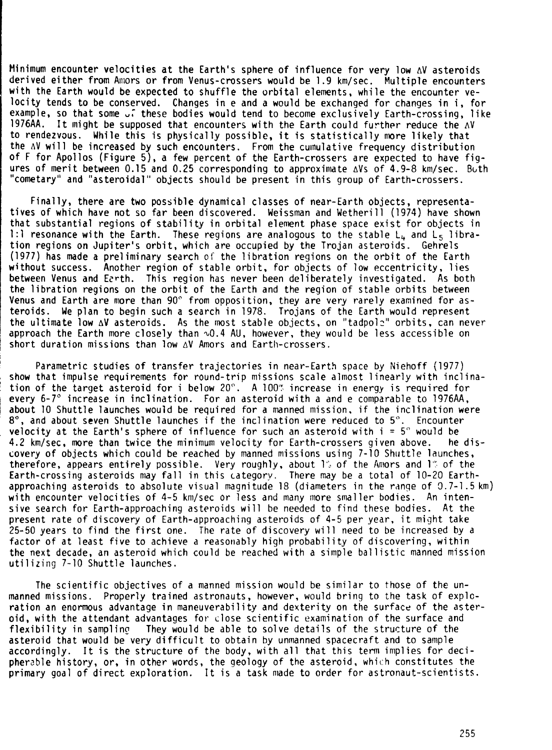Minimum encounter velocities at the Earth's sphere of influence for very low AV asteroids derived either from Amors or from Venus-crossers would be 1.9 km/sec. Multiple encounters with the Earth would be expected to shuffle the orbital elements. while the encounter vewith the Earth would be expected to shuffle the orbital elements, while the encounter ve-<br>locity tends to be conserved. Changes in e and a would be exchanged for changes in i, for<br>example, so that some  $\overline{\mathcal{F}}$  these bo example, so that some  $\sqrt{3}$  these bodies would tend to become exclusively Earth-crossing, like 1976AA. It might be supposed that encounters with the Earth could further reduce the  $\Delta V$ to rendezvous. While this is physically possible, it is statistically more likely that the AV will be increased by such encounters. From the cumulative frequency distribution of F for Apollos (Figure 5). a few percent of the Earth-crossers are expected to have figures of merit between  $0.15$  and  $0.25$  corresponding to approximate  $\Delta Vs$  of 4.9-8 km/sec. Buth "cometary" and "asteroidal" objects should be present in this group of Earth-crossers.

Finally, there are two possible dynamical classes of near-Earth objects, representatives of which have not so far been discovered. Weissman and Wetherill (1974) have shown that substantial regions of stability in orbital element phase space exist for objects in 1 :1 resonance with the Earth. These regions are analogous to the stable L,, and **L5** libration regions on Jupiter's orbit, which are occupied by the Trojan asteroids. Gehrels (1977) has made **a** preliminary search of the libration regions on the orbit of the Earth without success. Another region of stable orbit, for objects of low eccentricity, lies between Venus and Earth. This region has never been deliberately investigated. As both the libration regions on the orbit of the Earth and the region of stable orbits between Venus and Earth are more than 90° from opposition, they are very rarely examined for asteroids. We plan to begin such a search in 1978. Trojans of the Earth would represent approach the Earth more closely than  $\sim 0.4$  AU, however, they would be less accessible on short duration missions than low AV Amors and Earth-crossers.

Parametric studies of transfer trajectories in near-Earth space by Niehoff (1977) show that impulse requirements for round-trip missions scale almost linearly with inclina-<br>tion of the target asteroid for i below 20°. A 100" increase in energy is required for every 6-7' increase in inclination. For an asteroid with a and e comparable to 1976AA, about 10 Shuttle launches would be required for a manned mission, if the inclination were **8",** and about seven Shuttle launches if the inclination were reduced to 5". Encounter velocity at the Earth's sphere of influence for such an asteroid with  $i = 5^{\circ}$  would be<br>4.2 km/sec, more than twice the minimum velocity for Earth-crossers given above. The dis-4.2 km/sec, more than twice the minimum velocity for Earth-crossers given above. covery of objects which could be reached by manned missions using 7-10 Shuttle launches, therefore, appears entirely possible. Very roughly, about 1'; of the Awors and 1'" of the Earth-crossing asteroids may fall in this category. There may be a total of 10-20 Earthapproaching asteroids to absolute visual magnitude 18 (diameters in the range of 3.7-1.5 km) with encounter velocities of 4-5 km/sec or less and many more smaller bodies. An intensive search for Earth-approaching asteroids will be needed to find these bodies. At the present rate of discovery of Earth-approaching asteroids of 4-5 per year, it might take 25-50 years to find the first one. The rate of discovery wi 11 need to be increased by a factor of at least five to achieve a reasonably high probability of discovering, within the next decade, an asteroid which could be reached with a simple bal listic manned mission utilizing 7-10 Shuttle launches.

The scientific objectives of a manned mission would be similar to those of the unmanned missions. Properly trained astronauts, however, would bring to the task of explcration an enormous advantage in maneuverability and dexterity on the surface of the asteroid, with the attendant advantages for close scientific examination of the surface and flexibility in samplino They would be able to solve details of the structure of the asteroid that would be very difficult to obtain by unmanned spacecraft and to sample accordingly. It is the structure of the body, with all that this term implies for decipherable history, or, in other words, the geology of the asteroid. which constitutes the primary goal of direct exploration. It is a task made to order for astronaut-scientists.